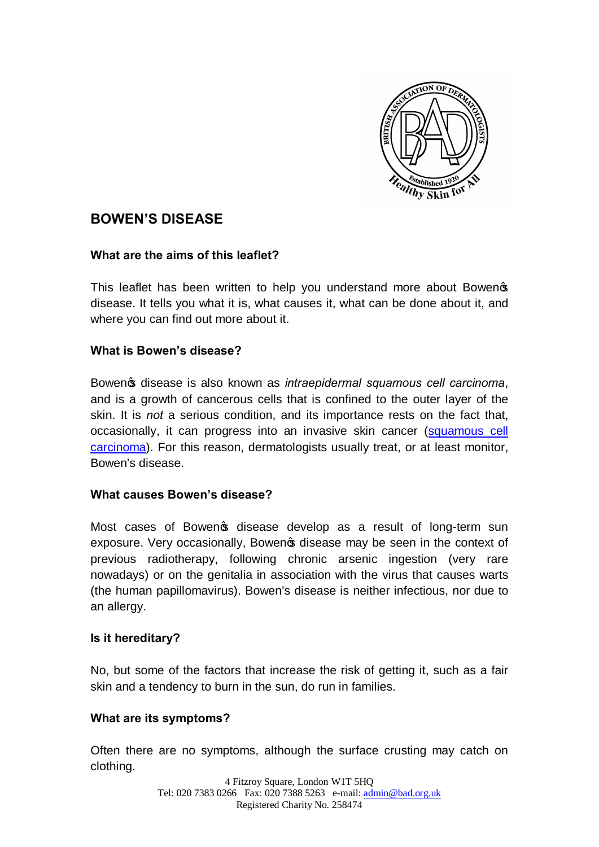

# **BOWEN'S DISEASE**

#### **What are the aims of this leaflet?**

This leaflet has been written to help you understand more about Bowen disease. It tells you what it is, what causes it, what can be done about it, and where you can find out more about it.

#### **What is Bowen's disease?**

Bowen<sub>®</sub> disease is also known as *intraepidermal squamous cell carcinoma*, and is a growth of cancerous cells that is confined to the outer layer of the skin. It is *not* a serious condition, and its importance rests on the fact that, occasionally, it can progress into an invasive skin cancer (squamous cell carcinoma). For this reason, dermatologists usually treat, or at least monitor, Bowen's disease.

#### **What causes Bowen's disease?**

Most cases of Bowengs disease develop as a result of long-term sun exposure. Very occasionally, Bowen is disease may be seen in the context of previous radiotherapy, following chronic arsenic ingestion (very rare nowadays) or on the genitalia in association with the virus that causes warts (the human papillomavirus). Bowen's disease is neither infectious, nor due to an allergy.

#### **Is it hereditary?**

No, but some of the factors that increase the risk of getting it, such as a fair skin and a tendency to burn in the sun, do run in families.

### **What are its symptoms?**

Often there are no symptoms, although the surface crusting may catch on clothing.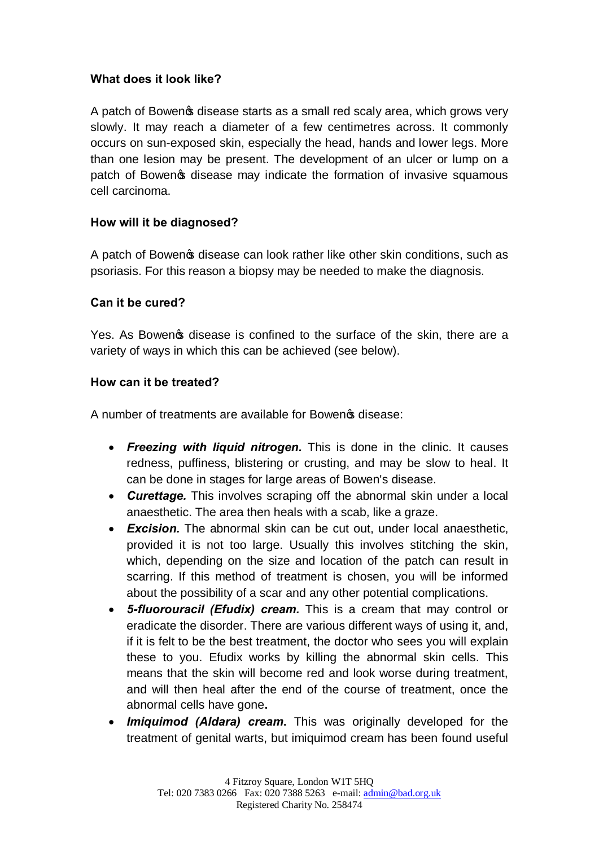## **What does it look like?**

A patch of Bowengs disease starts as a small red scaly area, which grows very slowly. It may reach a diameter of a few centimetres across. It commonly occurs on sun-exposed skin, especially the head, hands and lower legs. More than one lesion may be present. The development of an ulcer or lump on a patch of Bowengs disease may indicate the formation of invasive squamous cell carcinoma.

# **How will it be diagnosed?**

A patch of Bowen of disease can look rather like other skin conditions, such as psoriasis. For this reason a biopsy may be needed to make the diagnosis.

### **Can it be cured?**

Yes. As Bowen ts disease is confined to the surface of the skin, there are a variety of ways in which this can be achieved (see below).

# **How can it be treated?**

A number of treatments are available for Bowen & disease:

- · *Freezing with liquid nitrogen.* This is done in the clinic. It causes redness, puffiness, blistering or crusting, and may be slow to heal. It can be done in stages for large areas of Bowen's disease.
- · *Curettage.* This involves scraping off the abnormal skin under a local anaesthetic. The area then heals with a scab, like a graze.
- · *Excision.* The abnormal skin can be cut out, under local anaesthetic, provided it is not too large. Usually this involves stitching the skin, which, depending on the size and location of the patch can result in scarring. If this method of treatment is chosen, you will be informed about the possibility of a scar and any other potential complications.
- · *5-fluorouracil (Efudix) cream.* This is a cream that may control or eradicate the disorder. There are various different ways of using it, and, if it is felt to be the best treatment, the doctor who sees you will explain these to you. Efudix works by killing the abnormal skin cells. This means that the skin will become red and look worse during treatment, and will then heal after the end of the course of treatment, once the abnormal cells have gone**.**
- **Imiquimod (Aldara) cream.** This was originally developed for the treatment of genital warts, but imiquimod cream has been found useful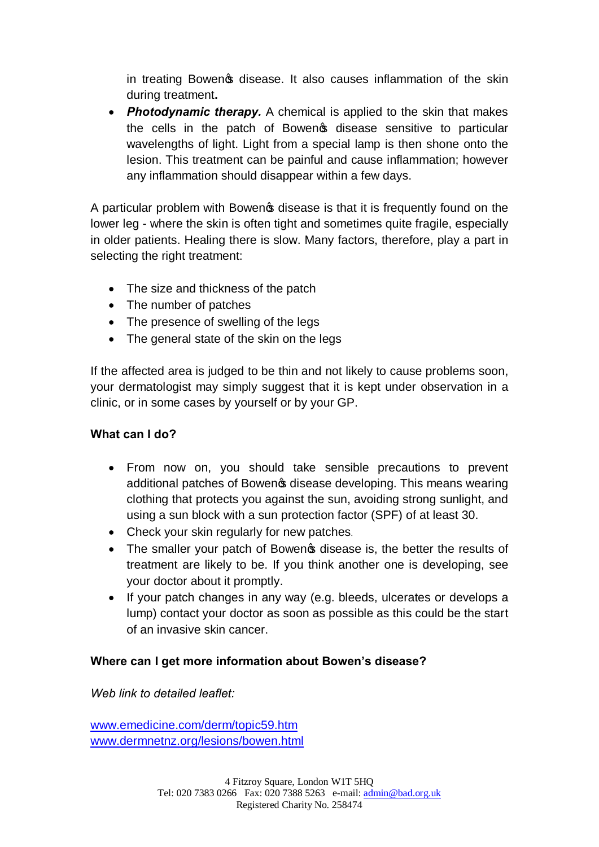in treating Bowen of disease. It also causes inflammation of the skin during treatment**.** 

**Photodynamic therapy.** A chemical is applied to the skin that makes the cells in the patch of Bowen<sup>o</sup>s disease sensitive to particular wavelengths of light. Light from a special lamp is then shone onto the lesion. This treatment can be painful and cause inflammation; however any inflammation should disappear within a few days.

A particular problem with Bowengs disease is that it is frequently found on the lower leg - where the skin is often tight and sometimes quite fragile, especially in older patients. Healing there is slow. Many factors, therefore, play a part in selecting the right treatment:

- The size and thickness of the patch
- The number of patches
- The presence of swelling of the legs
- The general state of the skin on the legs

If the affected area is judged to be thin and not likely to cause problems soon, your dermatologist may simply suggest that it is kept under observation in a clinic, or in some cases by yourself or by your GP.

### **What can I do?**

- · From now on, you should take sensible precautions to prevent additional patches of Bowen **s** disease developing. This means wearing clothing that protects you against the sun, avoiding strong sunlight, and using a sun block with a sun protection factor (SPF) of at least 30.
- Check your skin regularly for new patches.
- The smaller your patch of Bowen is disease is, the better the results of treatment are likely to be. If you think another one is developing, see your doctor about it promptly.
- If your patch changes in any way (e.g. bleeds, ulcerates or develops a lump) contact your doctor as soon as possible as this could be the start of an invasive skin cancer.

### **Where can I get more information about Bowen's disease?**

*Web link to detailed leaflet:*

www.emedicine.com/derm/topic59.htm www.dermnetnz.org/lesions/bowen.html